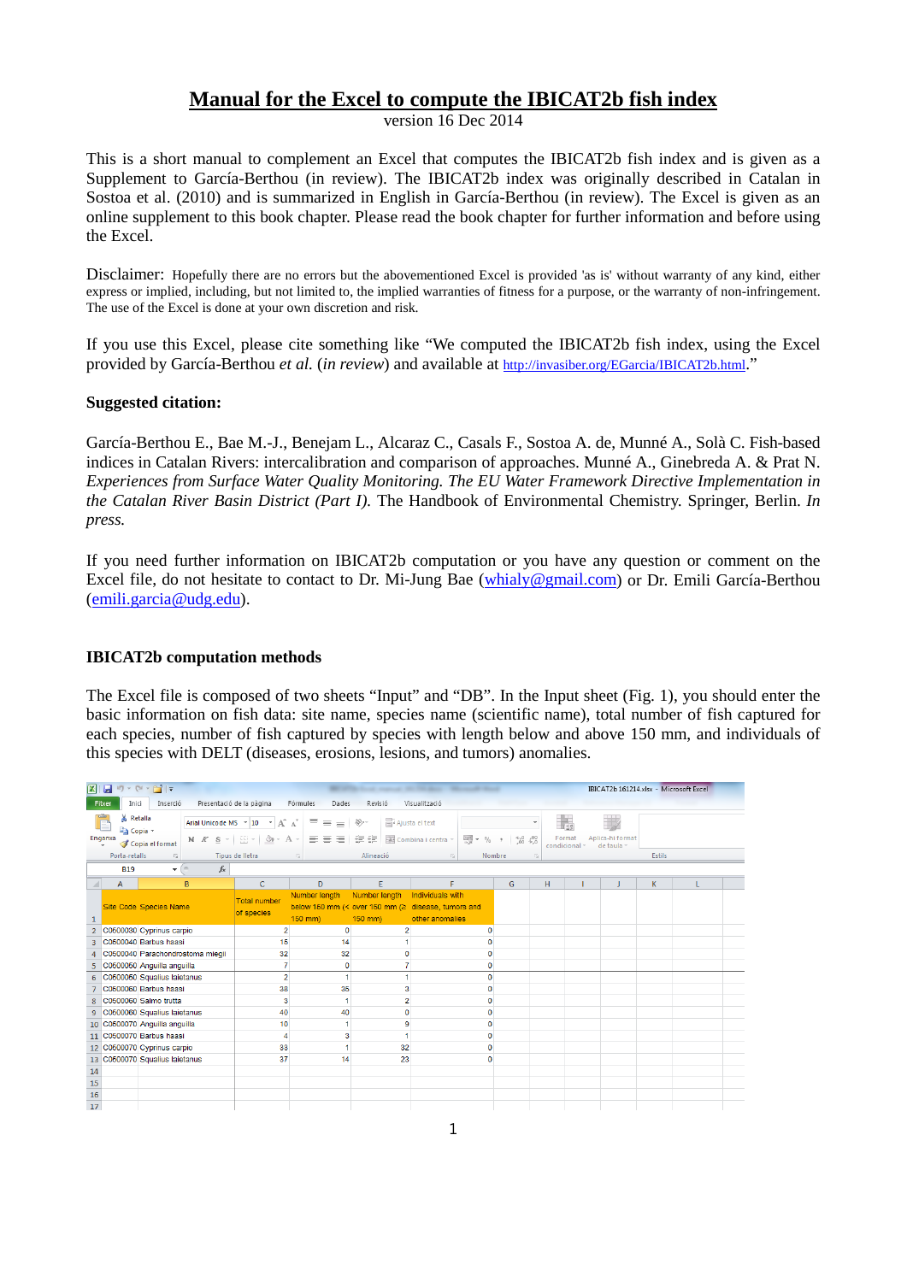## **Manual for the Excel to compute the IBICAT2b fish index**

version 16 Dec 2014

This is a short manual to complement an Excel that computes the IBICAT2b fish index and is given as a Supplement to García-Berthou (in review). The IBICAT2b index was originally described in Catalan in Sostoa et al. (2010) and is summarized in English in García-Berthou (in review). The Excel is given as an online supplement to this book chapter. Please read the book chapter for further information and before using the Excel.

Disclaimer: Hopefully there are no errors but the abovementioned Excel is provided 'as is' without warranty of any kind, either express or implied, including, but not limited to, the implied warranties of fitness for a purpose, or the warranty of non-infringement. The use of the Excel is done at your own discretion and risk.

If you use this Excel, please cite something like "We computed the IBICAT2b fish index, using the Excel provided by García-Berthou *et al.* (*in review*) and available at [http://invasiber.org/EGarcia/IBICAT2b.html.](http://invasiber.org/EGarcia/IBICAT2b.html)"

## **Suggested citation:**

García-Berthou E., Bae M.-J., Benejam L., Alcaraz C., Casals F., Sostoa A. de, Munné A., Solà C. Fish-based indices in Catalan Rivers: intercalibration and comparison of approaches. Munné A., Ginebreda A. & Prat N. *Experiences from Surface Water Quality Monitoring. The EU Water Framework Directive Implementation in the Catalan River Basin District (Part I).* The Handbook of Environmental Chemistry. Springer, Berlin. *In press.*

If you need further information on IBICAT2b computation or you have any question or comment on the Excel file, do not hesitate to contact to Dr. Mi-Jung Bae [\(whialy@gmail.com\)](mailto:whialy@gmail.com) or Dr. Emili García-Berthou [\(emili.garcia@udg.edu\)](mailto:emili.garcia@udg.edu).

## **IBICAT2b computation methods**

The Excel file is composed of two sheets "Input" and "DB". In the Input sheet (Fig. 1), you should enter the basic information on fish data: site name, species name (scientific name), total number of fish captured for each species, number of fish captured by species with length below and above 150 mm, and individuals of this species with DELT (diseases, erosions, lesions, and tumors) anomalies.

|                |                             | $\mathbf{X} \mid \mathbf{H} \rightarrow \mathbf{0} \times \mathbf{0} \times \mathbf{H} \mid \mathbf{v}$ |                                  |                                                           |                               |                                 | <b>State Company of the Company's</b><br><b>SEA PRODUCTS</b>                              |                                                   |               | IBICAT2b 161214.xlsx - Microsoft Excel |        |  |
|----------------|-----------------------------|---------------------------------------------------------------------------------------------------------|----------------------------------|-----------------------------------------------------------|-------------------------------|---------------------------------|-------------------------------------------------------------------------------------------|---------------------------------------------------|---------------|----------------------------------------|--------|--|
|                | Fitxer<br>Inici             | Inserció                                                                                                |                                  | Presentació de la pàgina                                  | Fórmules<br>Dades             | Revisió                         | Visualització                                                                             |                                                   |               |                                        |        |  |
|                | & Retalla<br><b>Copia</b> * |                                                                                                         |                                  | Arial Unicode MS $\rightarrow$ 10 $\rightarrow$ $A^* A^*$ | $\equiv$<br>$\equiv$ $\equiv$ | Ajusta el text<br>$\frac{1}{2}$ |                                                                                           |                                                   | Format        | Aplica-hi format                       |        |  |
|                | Enganxa                     | Copia el format                                                                                         | N K S                            | $\Box$ $\cdot$ $\Delta$ $\cdot$ $A$ $\cdot$               | まま 車 速徳                       |                                 | $\frac{100}{100}$ + %<br>Fair Combina i centra ~                                          | $^{+50}_{0.0}$ $^{+0.00}_{0.0}$<br>$\overline{2}$ | condicional ~ | de taula -                             |        |  |
|                | Porta-retalls               | $\overline{\mathcal{M}}$                                                                                |                                  | Tipus de lletra                                           | $\overline{\mathrm{M}}$       | Alineació                       | $\overline{\mathbb{R}}$                                                                   | Nombre<br>反                                       |               |                                        | Estils |  |
|                | <b>B19</b>                  | $-$ ( $=$                                                                                               | $f_x$                            |                                                           |                               |                                 |                                                                                           |                                                   |               |                                        |        |  |
| ⊿              | A                           |                                                                                                         | B                                | c                                                         | D                             | E                               | F                                                                                         | G                                                 | н             | J                                      | K      |  |
| 1              |                             | Site Code Species Name                                                                                  |                                  | <b>Total number</b><br>of species                         | Number length<br>150 mm)      | Number length<br>150 mm)        | Individuals with<br>below 150 mm (< over 150 mm (≥ disease, tumors and<br>other anomalies |                                                   |               |                                        |        |  |
| $\overline{2}$ |                             | C0500030 Cyprinus carpio                                                                                |                                  | $\overline{2}$                                            | $\mathbf{0}$                  | $\overline{2}$                  |                                                                                           | $\mathbf{0}$                                      |               |                                        |        |  |
|                |                             | C0500040 Barbus haasi                                                                                   |                                  | 15                                                        | 14                            |                                 |                                                                                           | n                                                 |               |                                        |        |  |
| 4              |                             |                                                                                                         | C0500040 Parachondrostoma miegii | 32                                                        | 32                            | 0                               |                                                                                           | 0                                                 |               |                                        |        |  |
| 5              |                             | C0500050 Anguilla anguilla                                                                              |                                  | $\overline{7}$                                            | $\mathbf 0$                   | 7                               |                                                                                           | 0                                                 |               |                                        |        |  |
| 6              |                             | C0500050 Squalius laietanus                                                                             |                                  | $\overline{2}$                                            | 1                             | 1                               |                                                                                           | 0                                                 |               |                                        |        |  |
|                |                             | C0500060 Barbus haasi                                                                                   |                                  | 38                                                        | 35                            | 3                               |                                                                                           | 0                                                 |               |                                        |        |  |
| 8              |                             | C0500060 Salmo trutta                                                                                   |                                  | 3                                                         | 1                             | $\overline{2}$                  |                                                                                           | 0                                                 |               |                                        |        |  |
| 9              |                             | C0500060 Squalius laietanus                                                                             |                                  | 40                                                        | 40                            | $\mathbf 0$                     |                                                                                           | O                                                 |               |                                        |        |  |
|                |                             | 10 C0500070 Anguilla anguilla                                                                           |                                  | 10                                                        | 1                             | 9                               |                                                                                           | 0                                                 |               |                                        |        |  |
| 11             |                             | C0500070 Barbus haasi                                                                                   |                                  | $\overline{4}$                                            | 3                             | 1                               |                                                                                           | 0                                                 |               |                                        |        |  |
|                |                             | 12 C0500070 Cyprinus carpio                                                                             |                                  | 33                                                        |                               | 32                              |                                                                                           | 0                                                 |               |                                        |        |  |
|                |                             | 13 C0500070 Squalius laietanus                                                                          |                                  | 37                                                        | 14                            | 23                              |                                                                                           | 0                                                 |               |                                        |        |  |
| 14             |                             |                                                                                                         |                                  |                                                           |                               |                                 |                                                                                           |                                                   |               |                                        |        |  |
| 15             |                             |                                                                                                         |                                  |                                                           |                               |                                 |                                                                                           |                                                   |               |                                        |        |  |
| 16             |                             |                                                                                                         |                                  |                                                           |                               |                                 |                                                                                           |                                                   |               |                                        |        |  |
| 17             |                             |                                                                                                         |                                  |                                                           |                               |                                 |                                                                                           |                                                   |               |                                        |        |  |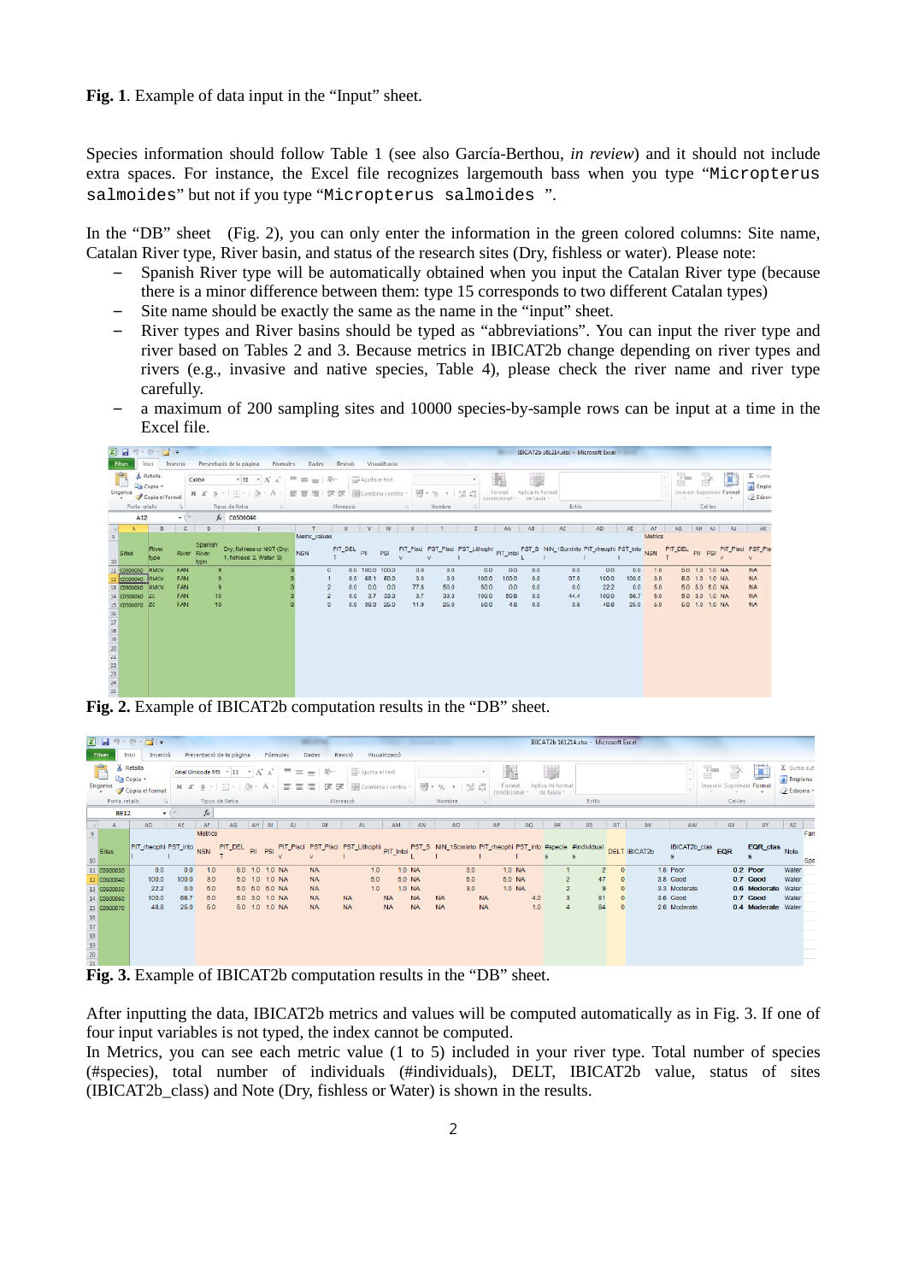Fig. 1. Example of data input in the "Input" sheet.

Species information should follow Table 1 (see also García-Berthou, *in review*) and it should not include extra spaces. For instance, the Excel file recognizes largemouth bass when you type "Micropterus salmoides" but not if you type "Micropterus salmoides ".

In the "DB" sheet (Fig. 2), you can only enter the information in the green colored columns: Site name, Catalan River type, River basin, and status of the research sites (Dry, fishless or water). Please note:

- Spanish River type will be automatically obtained when you input the Catalan River type (because there is a minor difference between them: type 15 corresponds to two different Catalan types)
- Site name should be exactly the same as the name in the "input" sheet.
- River types and River basins should be typed as "abbreviations". You can input the river type and river based on Tables 2 and 3. Because metrics in IBICAT2b change depending on river types and rivers (e.g., invasive and native species, Table 4), please check the river name and river type carefully.
- a maximum of 200 sampling sites and 10000 species-by-sample rows can be input at a time in the Excel file.

| $21 - 5 - 5 - 11 - 1$                                                                                                         |                                                                            |          |                                                                                                                                                                                       |                                | Presentació de la pàgina                                | Fórmules |                                               |                          |                          |                                       |                                  |                                   |                                  |                                       |                                   |                                     | IBICAT2b 161214.xlsx - Microsoft Excel                                             |                   |                                      |                                     |                                 |         |         |                                                                                     |           |                                                        |
|-------------------------------------------------------------------------------------------------------------------------------|----------------------------------------------------------------------------|----------|---------------------------------------------------------------------------------------------------------------------------------------------------------------------------------------|--------------------------------|---------------------------------------------------------|----------|-----------------------------------------------|--------------------------|--------------------------|---------------------------------------|----------------------------------|-----------------------------------|----------------------------------|---------------------------------------|-----------------------------------|-------------------------------------|------------------------------------------------------------------------------------|-------------------|--------------------------------------|-------------------------------------|---------------------------------|---------|---------|-------------------------------------------------------------------------------------|-----------|--------------------------------------------------------|
| Filxer<br>F<br>Enganxa                                                                                                        | Initi<br><b>A</b> Retails<br>a Copia -<br>Copia el format<br>Porta-retails | Inserció | $+11$ $+$ $\Lambda^*$ $\Lambda^*$<br>$-105$<br>Calibri<br>$H - 3$<br>NK<br>- A<br>s<br>Tipus de lletra<br>$\sqrt{2}$<br>$\overline{a}$<br>$f_x$ $C0500040$<br>$+$ (%)<br>c<br>D)<br>正 |                                |                                                         |          | Dades<br>平面<br>图看<br>$\overline{\mathcal{R}}$ | $\mathcal{D}$ -<br>课徒    | Revisió<br>Alineació     | Ajusta el text<br>Combina i centra    | Visualització                    |                                   | 明· % , 1 % %<br>Nombre           | 蠡<br>Format<br>sondicional            |                                   | 迦<br>Aplica-hi format<br>de baula : | Estils                                                                             |                   |                                      |                                     |                                 | P       |         | Insereix Suprimeix Format<br>Cel·les                                                | J         | E Suma<br>$\sqrt{2}$ Emple<br>2 Esborn                 |
|                                                                                                                               | A12<br>в                                                                   |          |                                                                                                                                                                                       |                                |                                                         |          |                                               |                          | U.                       | W.                                    | W                                |                                   |                                  |                                       | AA                                | AB                                  | AC                                                                                 | AD.               |                                      | AE.                                 | AF                              | AG      | AH AI   |                                                                                     | A.        | AK                                                     |
| <b>Call</b><br>$\,$ $\,$<br>Sites<br>10                                                                                       | River<br>type                                                              |          |                                                                                                                                                                                       | Spanish<br>River River<br>type | Dry, fishless or NOT (Dry:<br>1, fishless: 2, Water: 3) |          | Metric_values<br><b>NSN</b>                   |                          | PIT_DEL                  | PII                                   | <b>PSI</b>                       |                                   |                                  |                                       |                                   |                                     | PIT_Pisci PST_Pisci PST_Lithophi PIT_intol PST_S NIN_15cminto PIT_rheophi PST_into |                   |                                      |                                     | Metrics<br><b>NSN</b>           | PIT_DEL | PII PSI |                                                                                     | PIT_Pisci | PST_Pisi                                               |
| C0500030<br>11<br>C0500040<br>13 C0500050<br>14 C0500060<br>15 C0500070<br>16<br>17<br>18<br>19<br>20<br>21<br>22<br>23<br>24 | RMCV<br>RMCV<br>RMCV<br>l2C<br>129                                         |          | FAN<br>FAN<br><b>FAN</b><br>FAN<br>FAN                                                                                                                                                |                                | <b>g</b><br>$\theta$<br>$\overline{9}$<br>10<br>10      |          |                                               | n<br>$\overline{2}$<br>3 | 0.0<br>0.0<br>0.0<br>0.0 | 0.0 100.0 100.0<br>0.0<br>3.7<br>39.3 | 68.1 50.0<br>0.0<br>33.3<br>25.0 | 0.0<br>0.0<br>77.8<br>3.7<br>11.9 | 00<br>00<br>50.0<br>33.3<br>25.0 | 0.0<br>100.0<br>50.0<br>100.0<br>50.0 | 00<br>100.0<br>0.0<br>50.6<br>4.8 | 0.0<br>00<br>0.0<br>0.0<br>0.0      | 97.9<br>44.4                                                                       | 0.0<br>0.0<br>3.6 | 00<br>100.0<br>22.2<br>100.0<br>48.8 | 0.0<br>100.0<br>0.0<br>66.7<br>25.0 | 1.0<br>3.0<br>5.0<br>5.0<br>5.0 |         |         | 50 10 10 NA<br>5.0 1.0 1.0 NA<br>5.0 5.0 5.0 NA<br>5.0 3.0 1.0 NA<br>5.0 1.0 1.0 NA |           | <b>NA</b><br><b>NA</b><br><b>NA</b><br>NA<br><b>NA</b> |

**Fig. 2.** Example of IBICAT2b computation results in the "DB" sheet.

|                                                                                                                                                                                | $\mathbf{X} \parallel \mathbf{H} \parallel \mathbf{V} \parallel \mathbf{V} \parallel \mathbf{V} \parallel \mathbf{V}$<br>IBICAT2b 161214.xlsx - Microsoft Excel<br>Presentació de la pàgina<br>Visualització |                                     |                                                                 |                                                                                           |           |                                                                                        |                      |                                                               |                        |                                         |                        |                                                      |    |                        |                                                                                                                                                              |    |                            |            |                              |                     |                                                    |                                                     |                      |                                                                                   |   |         |                                                                                          |                                                                |
|--------------------------------------------------------------------------------------------------------------------------------------------------------------------------------|--------------------------------------------------------------------------------------------------------------------------------------------------------------------------------------------------------------|-------------------------------------|-----------------------------------------------------------------|-------------------------------------------------------------------------------------------|-----------|----------------------------------------------------------------------------------------|----------------------|---------------------------------------------------------------|------------------------|-----------------------------------------|------------------------|------------------------------------------------------|----|------------------------|--------------------------------------------------------------------------------------------------------------------------------------------------------------|----|----------------------------|------------|------------------------------|---------------------|----------------------------------------------------|-----------------------------------------------------|----------------------|-----------------------------------------------------------------------------------|---|---------|------------------------------------------------------------------------------------------|----------------------------------------------------------------|
| Fitxer                                                                                                                                                                         | Inici<br>Inserció                                                                                                                                                                                            |                                     |                                                                 |                                                                                           |           | Fórmules                                                                               |                      | Dades                                                         | Revisió                |                                         |                        |                                                      |    |                        |                                                                                                                                                              |    |                            |            |                              |                     |                                                    |                                                     |                      |                                                                                   |   |         |                                                                                          |                                                                |
| Enganxa                                                                                                                                                                        | & Retalla<br><b>Copia</b> *<br>Copia el format                                                                                                                                                               |                                     | $N K S$ $\cdot$ $\cdots$                                        | Arial Unicode MS $\rightarrow$ 11 $\rightarrow$ $\overrightarrow{A}$ $\overrightarrow{A}$ | ∗ A       |                                                                                        | $\equiv$<br>$\equiv$ | S) -<br>$=$<br>≡                                              |                        | Ajusta el text<br>建建 國 Combina i centra |                        |                                                      |    |                        | 图 - % , 60 ,00                                                                                                                                               |    | Format<br>condicional ·    |            | Aplica-hi format<br>de taula |                     |                                                    |                                                     |                      |                                                                                   | ÷ | F       | J<br><b>Insereix Suprimeix Formal</b>                                                    | $\Sigma$ Suma auto<br><b>F</b> Emplena ·<br><b>⊘</b> Esborra ▼ |
| Porta-retails                                                                                                                                                                  | <b>Fall</b>                                                                                                                                                                                                  |                                     | Tipus de lletra                                                 |                                                                                           |           | 反                                                                                      |                      |                                                               | Alineació              |                                         |                        | 反                                                    |    | Nombre                 |                                                                                                                                                              |    |                            |            |                              |                     | Estils                                             |                                                     |                      |                                                                                   |   | Cel·les |                                                                                          |                                                                |
| <b>BE12</b>                                                                                                                                                                    |                                                                                                                                                                                                              | $-$ ( $-$                           | $f_x$                                                           |                                                                                           |           |                                                                                        |                      |                                                               |                        |                                         |                        |                                                      |    |                        |                                                                                                                                                              |    |                            |            |                              |                     |                                                    |                                                     |                      |                                                                                   |   |         |                                                                                          |                                                                |
| $\mathsf{A}$                                                                                                                                                                   | <b>AD</b>                                                                                                                                                                                                    | AE                                  | AF                                                              | AG                                                                                        | $AH$ $AI$ |                                                                                        | AJ.                  | AK                                                            |                        | AL.                                     | AM                     |                                                      | AN |                        | AO                                                                                                                                                           | AP |                            | AQ         | AR                           |                     | AS                                                 | AT                                                  | AV                   | AW                                                                                |   | AX      | AY                                                                                       | AZ                                                             |
| $\overline{9}$<br>Sites<br>10<br>11 C0500030<br>12<br>C0500040<br>13 C0500050<br>14 C0500060<br>15 C0500070<br>$\begin{array}{r} 16 \\ 17 \\ 18 \\ 19 \\ 20 \end{array}$<br>21 | PIT_rheophi PST_into<br>0.0<br>100.0<br>22.2<br>100.0<br>48.8                                                                                                                                                | 0.0<br>100.0<br>0.0<br>66.7<br>25.0 | <b>Metrics</b><br><b>NSN</b><br>1.0<br>3.0<br>5.0<br>5.0<br>5.0 | PIT_DEL                                                                                   |           | 5.0 1.0 1.0 NA<br>5.0 1.0 1.0 NA<br>5.0 5.0 5.0 NA<br>5.0 3.0 1.0 NA<br>5.0 1.0 1.0 NA |                      | <b>NA</b><br><b>NA</b><br><b>NA</b><br><b>NA</b><br><b>NA</b> | <b>NA</b><br><b>NA</b> | 1.0<br>5.0<br>1.0                       | <b>NA</b><br><b>NA</b> | 1.0 NA<br>5.0 NA<br>1.0 NA<br><b>NA</b><br><b>NA</b> |    | <b>NA</b><br><b>NA</b> | PII PSI PIT_Pisci PST_Pisci PST_Lithophi PIT_into PST_S NIN_15cminto PIT_rheophi PST_into #specie #individual<br>3.0<br>5.0<br>3.0<br><b>NA</b><br><b>NA</b> |    | 1.0 NA<br>5.0 NA<br>1.0 NA | 4.0<br>1.0 |                              | $\overline{2}$<br>3 | $\overline{2}$<br>47<br>$\overline{9}$<br>81<br>84 | $\Omega$<br>$\mathbf 0$<br>$\mathbf{0}$<br>$\Omega$ | <b>DELT IBICAT2b</b> | IBICAT2b_clas<br>1.8 Poor<br>3.8 Good<br>3.3 Moderate<br>3.6 Good<br>2.6 Moderate |   | EQR     | EQR_clas<br>0.2 Poor<br>0.7 Good<br>0.6 Moderate Water<br>0.7 Good<br>0.4 Moderate Water | Fam<br>Note<br>Spe<br>Water<br>Water<br>Water                  |
|                                                                                                                                                                                | $\mathbf{F}$ in 3. Example of IRICAT? computation results in the "DR" sheet                                                                                                                                  |                                     |                                                                 |                                                                                           |           |                                                                                        |                      |                                                               |                        |                                         |                        |                                                      |    |                        |                                                                                                                                                              |    |                            |            |                              |                     |                                                    |                                                     |                      |                                                                                   |   |         |                                                                                          |                                                                |

**Fig. 3.** Example of IBICAT2b computation results in the "DB" sheet.

After inputting the data, IBICAT2b metrics and values will be computed automatically as in Fig. 3. If one of four input variables is not typed, the index cannot be computed.

In Metrics, you can see each metric value (1 to 5) included in your river type. Total number of species (#species), total number of individuals (#individuals), DELT, IBICAT2b value, status of sites (IBICAT2b\_class) and Note (Dry, fishless or Water) is shown in the results.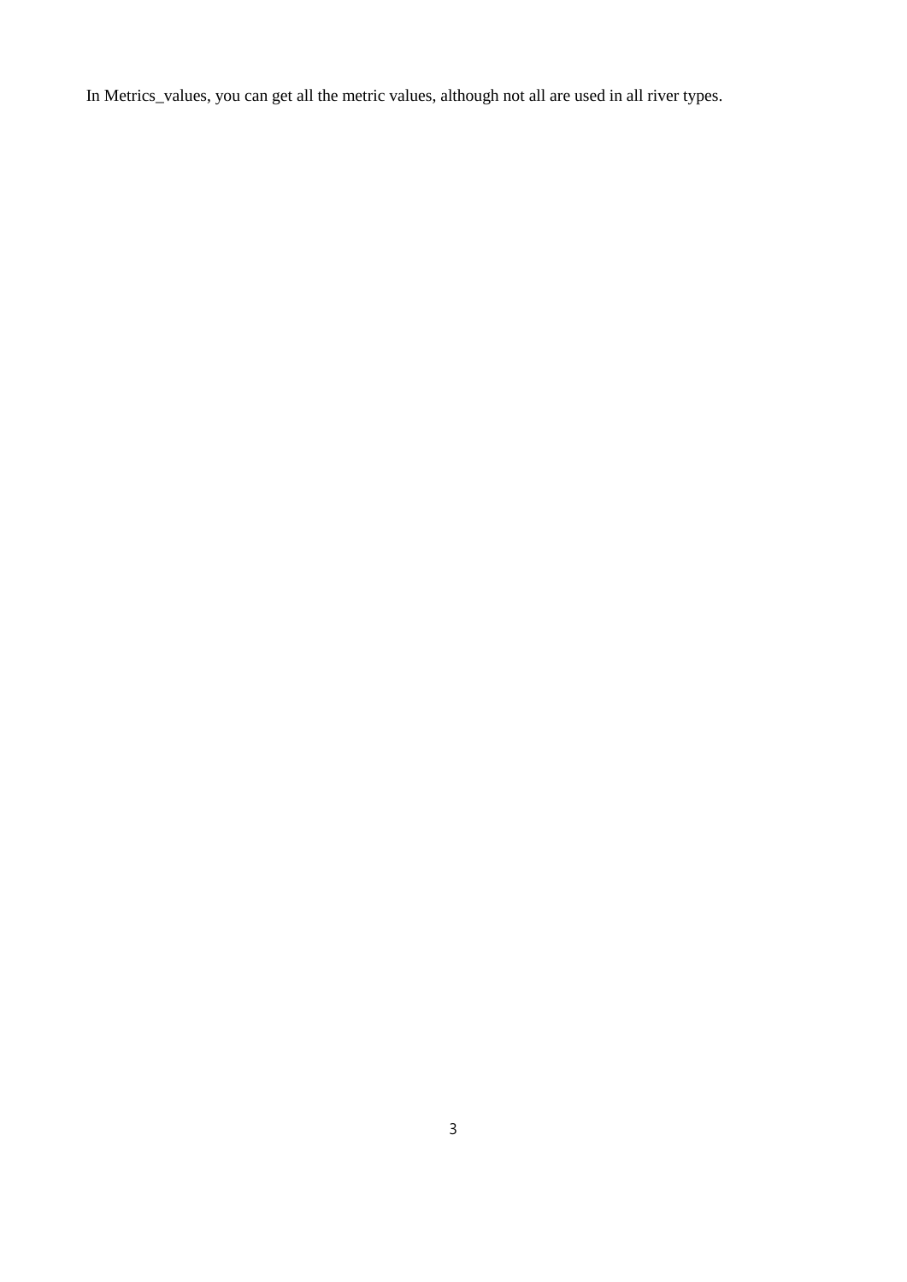In Metrics\_values, you can get all the metric values, although not all are used in all river types.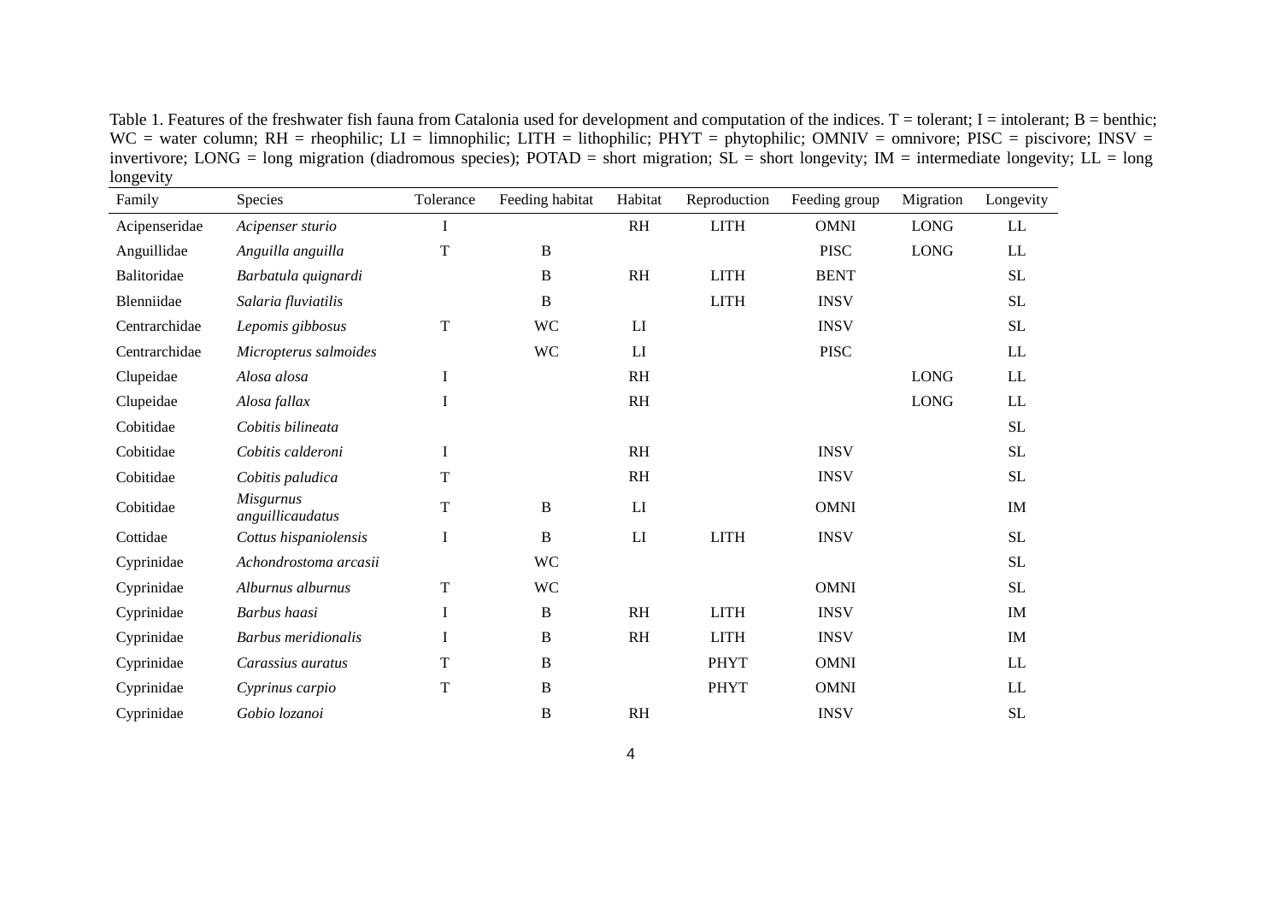Table 1. Features of the freshwater fish fauna from Catalonia used for development and computation of the indices.  $T =$  tolerant; I = intolerant; B = benthic; WC = water column; RH = rheophilic; LI = limnophilic; LITH = lithophilic; PHYT = phytophilic; OMNIV = omnivore; PISC = piscivore; INSV = invertivore; LONG = long migration (diadromous species); POTAD = short migration; SL = short longevity; IM = intermediate longevity; LL = long longevity  $\overline{\phantom{a}}$ 

| Family        | Species                              | Tolerance   | Feeding habitat | Habitat                | Reproduction | Feeding group | Migration   | Longevity           |
|---------------|--------------------------------------|-------------|-----------------|------------------------|--------------|---------------|-------------|---------------------|
| Acipenseridae | Acipenser sturio                     | I           |                 | <b>RH</b>              | <b>LITH</b>  | <b>OMNI</b>   | <b>LONG</b> | LL                  |
| Anguillidae   | Anguilla anguilla                    | T           | B               |                        |              | <b>PISC</b>   | <b>LONG</b> | LL                  |
| Balitoridae   | Barbatula quignardi                  |             | B               | R <sub>H</sub>         | <b>LITH</b>  | <b>BENT</b>   |             | <b>SL</b>           |
| Blenniidae    | Salaria fluviatilis                  |             | B               |                        | <b>LITH</b>  | <b>INSV</b>   |             | <b>SL</b>           |
| Centrarchidae | Lepomis gibbosus                     | T           | <b>WC</b>       | LI                     |              | <b>INSV</b>   |             | <b>SL</b>           |
| Centrarchidae | Micropterus salmoides                |             | <b>WC</b>       | LI                     |              | <b>PISC</b>   |             | $\rm LL$            |
| Clupeidae     | Alosa alosa                          | $\bf I$     |                 | <b>RH</b>              |              |               | <b>LONG</b> | ${\rm LL}$          |
| Clupeidae     | Alosa fallax                         | $\bf{I}$    |                 | RH                     |              |               | <b>LONG</b> | LL                  |
| Cobitidae     | Cobitis bilineata                    |             |                 |                        |              |               |             | $\operatorname{SL}$ |
| Cobitidae     | Cobitis calderoni                    | $\bf{I}$    |                 | <b>RH</b>              |              | <b>INSV</b>   |             | <b>SL</b>           |
| Cobitidae     | Cobitis paludica                     | T           |                 | RH                     |              | <b>INSV</b>   |             | $\operatorname{SL}$ |
| Cobitidae     | <b>Misgurnus</b><br>anguillicaudatus | T           | B               | LI                     |              | <b>OMNI</b>   |             | IM                  |
| Cottidae      | Cottus hispaniolensis                | $\bf{I}$    | B               | $\mathbf{L}\mathbf{I}$ | <b>LITH</b>  | <b>INSV</b>   |             | <b>SL</b>           |
| Cyprinidae    | Achondrostoma arcasii                |             | <b>WC</b>       |                        |              |               |             | $\operatorname{SL}$ |
| Cyprinidae    | Alburnus alburnus                    | T           | <b>WC</b>       |                        |              | <b>OMNI</b>   |             | $\rm SL$            |
| Cyprinidae    | Barbus haasi                         | $\mathbf I$ | $\, {\bf B}$    | <b>RH</b>              | <b>LITH</b>  | <b>INSV</b>   |             | IM                  |
| Cyprinidae    | <b>Barbus</b> meridionalis           | I           | B               | <b>RH</b>              | <b>LITH</b>  | <b>INSV</b>   |             | IM                  |
| Cyprinidae    | Carassius auratus                    | T           | B               |                        | <b>PHYT</b>  | <b>OMNI</b>   |             | LL                  |
| Cyprinidae    | Cyprinus carpio                      | T           | B               |                        | <b>PHYT</b>  | <b>OMNI</b>   |             | LL                  |
| Cyprinidae    | Gobio lozanoi                        |             | B               | R <sub>H</sub>         |              | <b>INSV</b>   |             | $\rm SL$            |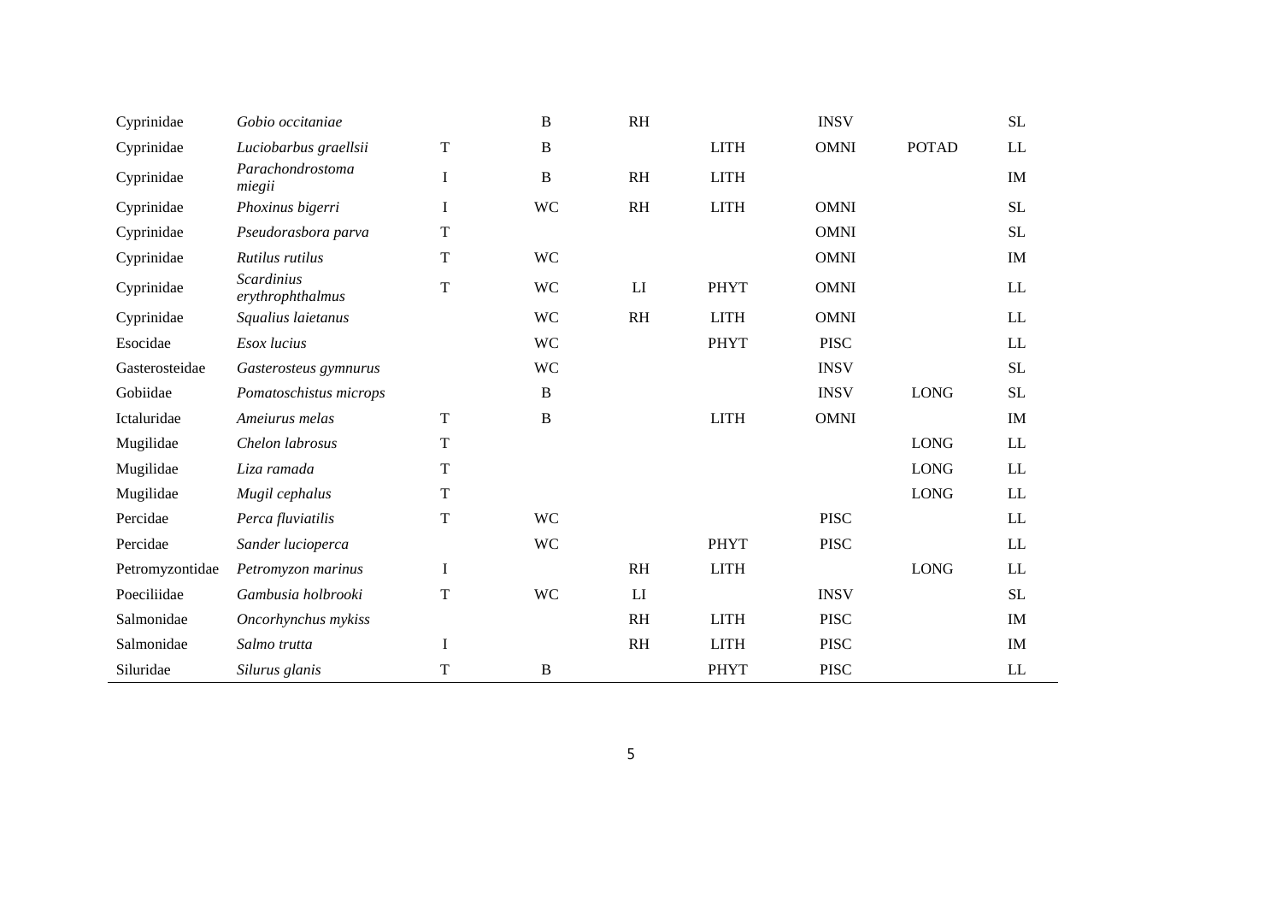| Cyprinidae      | Gobio occitaniae                      |             | $\mathbf B$  | RH        |             | <b>INSV</b> |              | <b>SL</b>                  |
|-----------------|---------------------------------------|-------------|--------------|-----------|-------------|-------------|--------------|----------------------------|
| Cyprinidae      | Luciobarbus graellsii                 | $\mathbf T$ | $\, {\bf B}$ |           | <b>LITH</b> | <b>OMNI</b> | <b>POTAD</b> | $\mathop{\rm LL}\nolimits$ |
| Cyprinidae      | Parachondrostoma<br>miegii            | $\bf I$     | $\, {\bf B}$ | <b>RH</b> | <b>LITH</b> |             |              | IM                         |
| Cyprinidae      | Phoxinus bigerri                      | $\bf{I}$    | <b>WC</b>    | RH        | <b>LITH</b> | <b>OMNI</b> |              | <b>SL</b>                  |
| Cyprinidae      | Pseudorasbora parva                   | $\mathbf T$ |              |           |             | <b>OMNI</b> |              | <b>SL</b>                  |
| Cyprinidae      | Rutilus rutilus                       | $\mathbf T$ | <b>WC</b>    |           |             | <b>OMNI</b> |              | IM                         |
| Cyprinidae      | <b>Scardinius</b><br>erythrophthalmus | $\mathbf T$ | <b>WC</b>    | LI        | <b>PHYT</b> | <b>OMNI</b> |              | $\mathop{\rm LL}\nolimits$ |
| Cyprinidae      | Squalius laietanus                    |             | <b>WC</b>    | RH        | <b>LITH</b> | <b>OMNI</b> |              | $\mathop{\rm LL}\nolimits$ |
| Esocidae        | Esox lucius                           |             | <b>WC</b>    |           | <b>PHYT</b> | <b>PISC</b> |              | $\mathop{\rm LL}\nolimits$ |
| Gasterosteidae  | Gasterosteus gymnurus                 |             | <b>WC</b>    |           |             | <b>INSV</b> |              | <b>SL</b>                  |
| Gobiidae        | Pomatoschistus microps                |             | $\mathbf B$  |           |             | <b>INSV</b> | <b>LONG</b>  | <b>SL</b>                  |
| Ictaluridae     | Ameiurus melas                        | $\mathbf T$ | $\, {\bf B}$ |           | <b>LITH</b> | <b>OMNI</b> |              | IM                         |
| Mugilidae       | Chelon labrosus                       | T           |              |           |             |             | <b>LONG</b>  | LL                         |
| Mugilidae       | Liza ramada                           | $\mathbf T$ |              |           |             |             | <b>LONG</b>  | $\mathop{\rm LL}\nolimits$ |
| Mugilidae       | Mugil cephalus                        | $\mathbf T$ |              |           |             |             | <b>LONG</b>  | <b>LL</b>                  |
| Percidae        | Perca fluviatilis                     | $\mathbf T$ | <b>WC</b>    |           |             | <b>PISC</b> |              | $\mathop{\rm LL}\nolimits$ |
| Percidae        | Sander lucioperca                     |             | <b>WC</b>    |           | <b>PHYT</b> | <b>PISC</b> |              | $\mathop{\rm LL}\nolimits$ |
| Petromyzontidae | Petromyzon marinus                    | $\bf{I}$    |              | <b>RH</b> | <b>LITH</b> |             | <b>LONG</b>  | LL                         |
| Poeciliidae     | Gambusia holbrooki                    | $\mathbf T$ | <b>WC</b>    | LI        |             | <b>INSV</b> |              | <b>SL</b>                  |
| Salmonidae      | Oncorhynchus mykiss                   |             |              | <b>RH</b> | <b>LITH</b> | <b>PISC</b> |              | IM                         |
| Salmonidae      | Salmo trutta                          | $\bf{I}$    |              | <b>RH</b> | <b>LITH</b> | <b>PISC</b> |              | IM                         |
| Siluridae       | Silurus glanis                        | T           | $\bf{B}$     |           | <b>PHYT</b> | <b>PISC</b> |              | <b>LL</b>                  |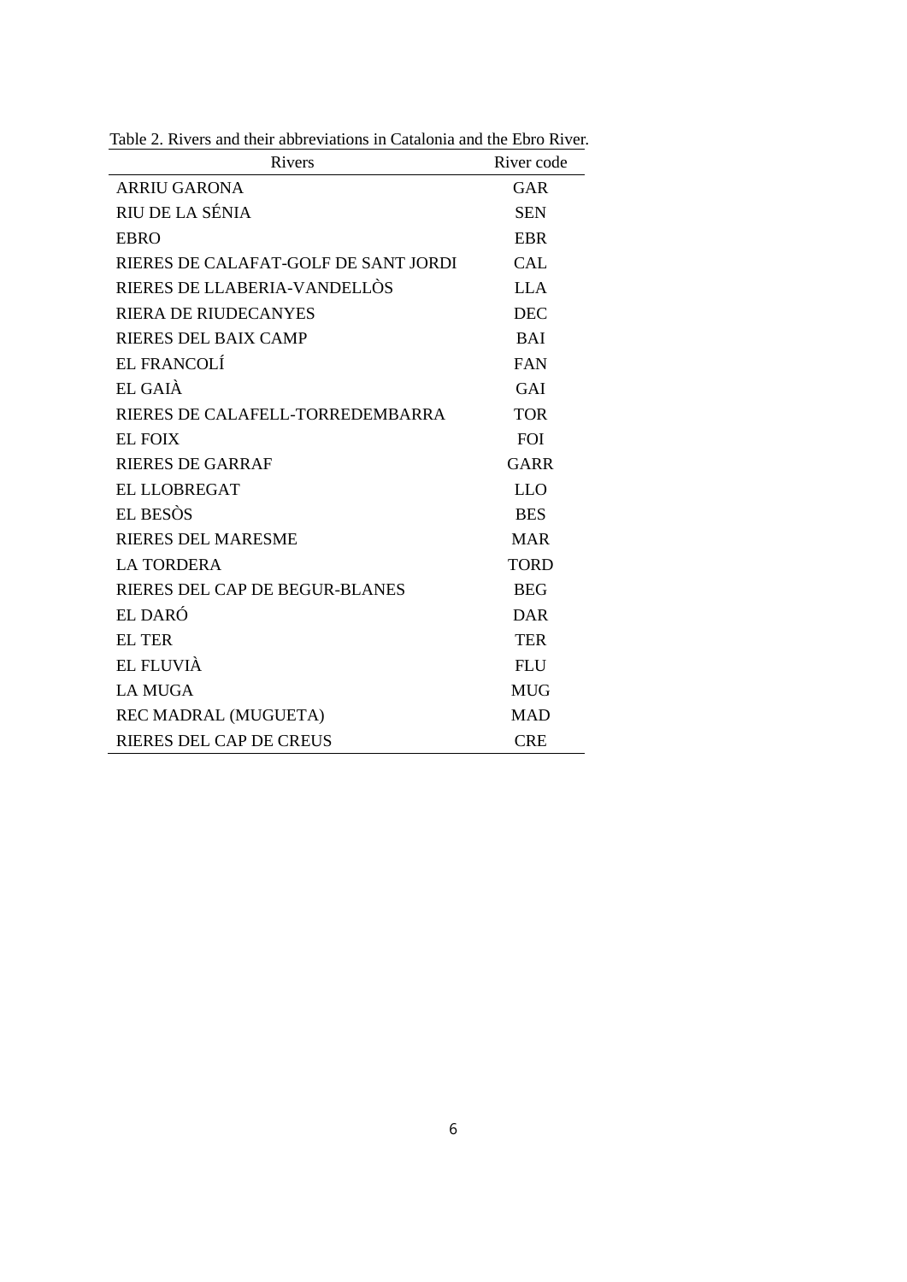| Rivers                               | River code  |
|--------------------------------------|-------------|
| ARRIU GARONA                         | GAR         |
| RIU DE LA SÉNIA                      | <b>SEN</b>  |
| <b>EBRO</b>                          | <b>EBR</b>  |
| RIERES DE CALAFAT-GOLF DE SANT JORDI | <b>CAL</b>  |
| RIERES DE LLABERIA-VANDELLÒS         | <b>LLA</b>  |
| <b>RIERA DE RIUDECANYES</b>          | <b>DEC</b>  |
| <b>RIERES DEL BAIX CAMP</b>          | <b>BAI</b>  |
| EL FRANCOLÍ                          | <b>FAN</b>  |
| EL GAIÀ                              | GAI         |
| RIERES DE CALAFELL-TORREDEMBARRA     | <b>TOR</b>  |
| <b>EL FOIX</b>                       | <b>FOI</b>  |
| RIERES DE GARRAF                     | GARR        |
| EL LLOBREGAT                         | <b>LLO</b>  |
| EL BESÒS                             | <b>BES</b>  |
| <b>RIERES DEL MARESME</b>            | <b>MAR</b>  |
| <b>LA TORDERA</b>                    | <b>TORD</b> |
| RIERES DEL CAP DE BEGUR-BLANES       | <b>BEG</b>  |
| EL DARÓ                              | DAR         |
| <b>EL TER</b>                        | <b>TER</b>  |
| EL FLUVIÀ                            | <b>FLU</b>  |
| <b>LA MUGA</b>                       | <b>MUG</b>  |
| REC MADRAL (MUGUETA)                 | <b>MAD</b>  |
| RIERES DEL CAP DE CREUS              | <b>CRE</b>  |

Table 2. Rivers and their abbreviations in Catalonia and the Ebro River.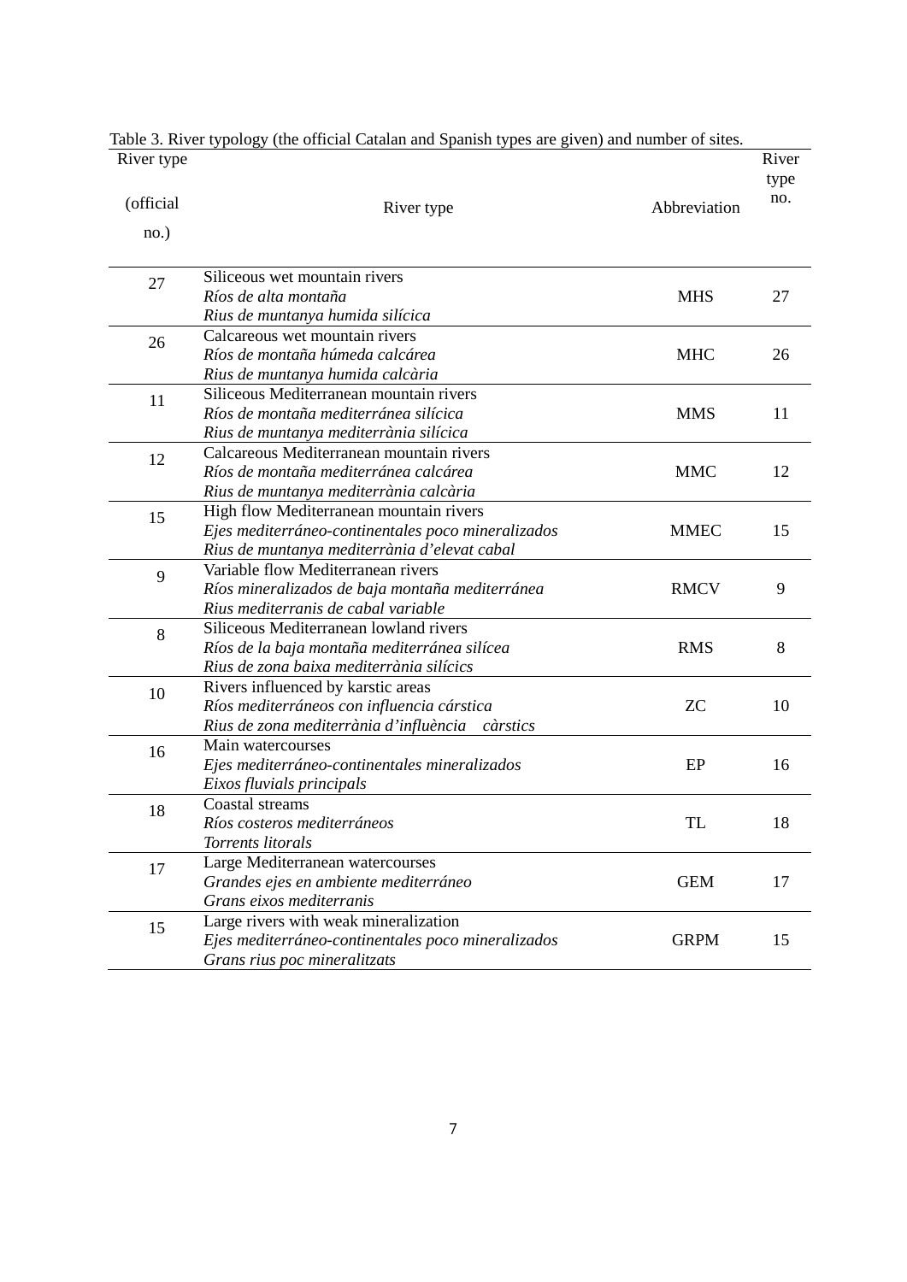| River type |                                                    |              | River       |
|------------|----------------------------------------------------|--------------|-------------|
| (official  |                                                    |              | type<br>no. |
|            | River type                                         | Abbreviation |             |
| no.)       |                                                    |              |             |
| 27         | Siliceous wet mountain rivers                      |              |             |
|            | Ríos de alta montaña                               | <b>MHS</b>   | 27          |
|            | Rius de muntanya humida silícica                   |              |             |
| 26         | Calcareous wet mountain rivers                     |              |             |
|            | Ríos de montaña húmeda calcárea                    | <b>MHC</b>   | 26          |
|            | Rius de muntanya humida calcària                   |              |             |
| 11         | Siliceous Mediterranean mountain rivers            |              |             |
|            | Ríos de montaña mediterránea silícica              | <b>MMS</b>   | 11          |
|            | Rius de muntanya mediterrània silícica             |              |             |
| 12         | Calcareous Mediterranean mountain rivers           |              |             |
|            | Ríos de montaña mediterránea calcárea              | <b>MMC</b>   | 12          |
|            | Rius de muntanya mediterrània calcària             |              |             |
| 15         | High flow Mediterranean mountain rivers            |              |             |
|            | Ejes mediterráneo-continentales poco mineralizados | <b>MMEC</b>  | 15          |
|            | Rius de muntanya mediterrània d'elevat cabal       |              |             |
| 9          | Variable flow Mediterranean rivers                 |              |             |
|            | Ríos mineralizados de baja montaña mediterránea    | <b>RMCV</b>  | 9           |
|            | Rius mediterranis de cabal variable                |              |             |
| 8          | Siliceous Mediterranean lowland rivers             |              |             |
|            | Ríos de la baja montaña mediterránea silícea       | <b>RMS</b>   | 8           |
|            | Rius de zona baixa mediterrània silícics           |              |             |
| 10         | Rivers influenced by karstic areas                 |              |             |
|            | Ríos mediterráneos con influencia cárstica         | <b>ZC</b>    | 10          |
|            | Rius de zona mediterrània d'influència càrstics    |              |             |
| 16         | Main watercourses                                  |              |             |
|            | Ejes mediterráneo-continentales mineralizados      | EP           | 16          |
|            | Eixos fluvials principals                          |              |             |
| 18         | Coastal streams                                    |              |             |
|            | Ríos costeros mediterráneos                        | TL           | 18          |
|            | Torrents litorals                                  |              |             |
| 17         | Large Mediterranean watercourses                   |              |             |
|            | Grandes ejes en ambiente mediterráneo              | <b>GEM</b>   | 17          |
|            | Grans eixos mediterranis                           |              |             |
| 15         | Large rivers with weak mineralization              |              |             |
|            | Ejes mediterráneo-continentales poco mineralizados | <b>GRPM</b>  | 15          |
|            | Grans rius poc mineralitzats                       |              |             |

Table 3. River typology (the official Catalan and Spanish types are given) and number of sites.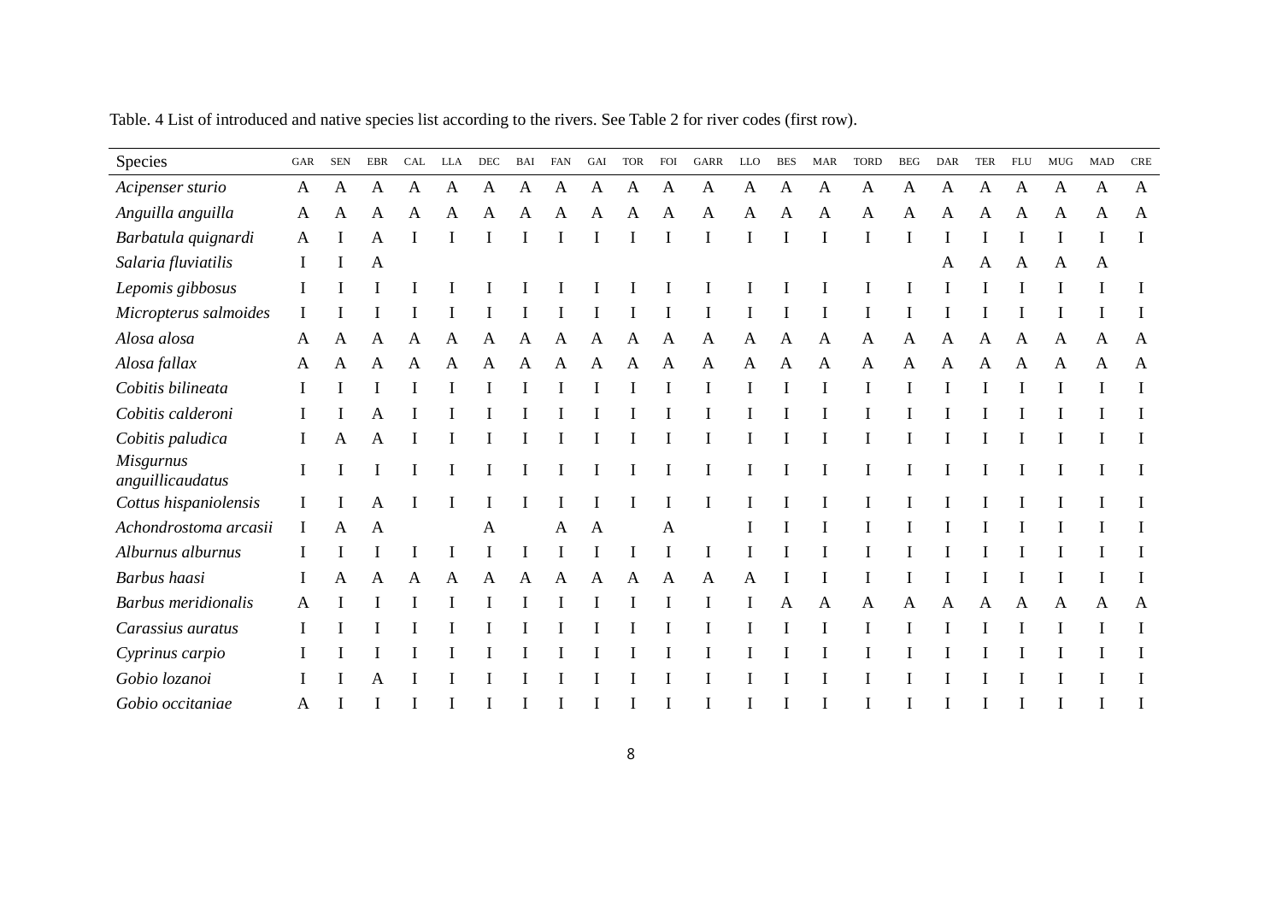| Species                              | GAR          | <b>SEN</b> | EBR | CAL | <b>LLA</b>   | DEC | BAI | <b>FAN</b>   | GAI | <b>TOR</b> | <b>FOI</b> | <b>GARR</b> | LLO | <b>BES</b>   | <b>MAR</b> | <b>TORD</b> | <b>BEG</b> | <b>DAR</b> | <b>TER</b>   | <b>FLU</b>   | ${\rm MUG}$ | <b>MAD</b> | <b>CRE</b>   |
|--------------------------------------|--------------|------------|-----|-----|--------------|-----|-----|--------------|-----|------------|------------|-------------|-----|--------------|------------|-------------|------------|------------|--------------|--------------|-------------|------------|--------------|
| Acipenser sturio                     | $\mathbf{A}$ | A          | A   | A   | $\mathbf{A}$ | A   | A   | $\mathbf{A}$ | A   | A          | A          | A           | A   | $\mathbf{A}$ | A          | A           | A          | A          | A            | $\mathbf{A}$ | A           | A          | $\mathbf{A}$ |
| Anguilla anguilla                    | A            | A          | Α   | A   | A            | А   | A   | A            | A   | Α          | A          | A           | A   | A            | A          | A           | A          | Α          | A            | A            | A           | A          | A            |
| Barbatula quignardi                  | A            |            | Α   |     |              |     |     |              |     |            |            |             |     |              |            |             |            |            |              |              |             |            |              |
| Salaria fluviatilis                  |              |            | A   |     |              |     |     |              |     |            |            |             |     |              |            |             |            | Α          | $\mathbf{A}$ | Α            | A           | A          |              |
| Lepomis gibbosus                     |              |            |     |     |              |     |     |              |     |            |            |             |     |              |            |             |            |            |              |              |             |            |              |
| Micropterus salmoides                |              |            |     |     |              |     |     |              |     |            |            |             |     |              |            |             |            |            |              |              |             |            |              |
| Alosa alosa                          | A            |            | Α   | A   | A            | A   | A   | A            | A   | Α          | A          | A           | A   | A            | A          | A           | Α          | A          | A            | Α            | A           | A          | $\mathbf{A}$ |
| Alosa fallax                         | A            | A          | Α   | A   | A            | A   | A   | A            | A   | A          | A          | A           | A   | $\mathbf{A}$ | A          | A           | A          | A          | A            | A            | A           | A          | A            |
| Cobitis bilineata                    |              |            |     |     |              |     |     |              |     |            |            |             |     |              |            |             |            |            |              |              |             |            |              |
| Cobitis calderoni                    |              |            |     |     |              |     |     |              |     |            |            |             |     |              |            |             |            |            |              |              |             |            |              |
| Cobitis paludica                     |              | A          | А   |     |              |     |     |              |     |            |            |             |     |              |            |             |            |            |              |              |             |            |              |
| <b>Misgurnus</b><br>anguillicaudatus |              |            |     |     |              |     |     |              |     |            |            |             |     |              |            |             |            |            |              |              |             |            |              |
| Cottus hispaniolensis                |              |            |     |     |              |     |     |              |     |            |            |             |     |              |            |             |            |            |              |              |             |            |              |
| Achondrostoma arcasii                | 1            | A          | A   |     |              | A   |     | A            | A   |            | A          |             |     |              |            |             |            |            |              |              |             |            |              |
| Alburnus alburnus                    |              |            |     |     |              |     |     |              |     |            |            |             |     |              |            |             |            |            |              |              |             |            |              |
| Barbus haasi                         |              |            |     | Α   |              |     | Α   | Α            | Α   |            |            | Α           | Α   |              |            |             |            |            |              |              |             |            |              |
| <b>Barbus</b> meridionalis           | A            |            |     |     |              |     |     |              |     |            |            |             |     | A            | A          | A           |            |            |              |              |             | Α          | A            |
| Carassius auratus                    |              |            |     |     |              |     |     |              |     |            |            |             |     |              |            |             |            |            |              |              |             |            |              |
| Cyprinus carpio                      |              |            |     |     |              |     |     |              |     |            |            |             |     |              |            |             |            |            |              |              |             |            |              |
| Gobio lozanoi                        |              |            |     |     |              |     |     |              |     |            |            |             |     |              |            |             |            |            |              |              |             |            |              |
| Gobio occitaniae                     | Α            |            |     |     |              |     |     |              |     |            |            |             |     |              |            |             |            |            |              |              |             |            |              |

Table. 4 List of introduced and native species list according to the rivers. See Table 2 for river codes (first row).